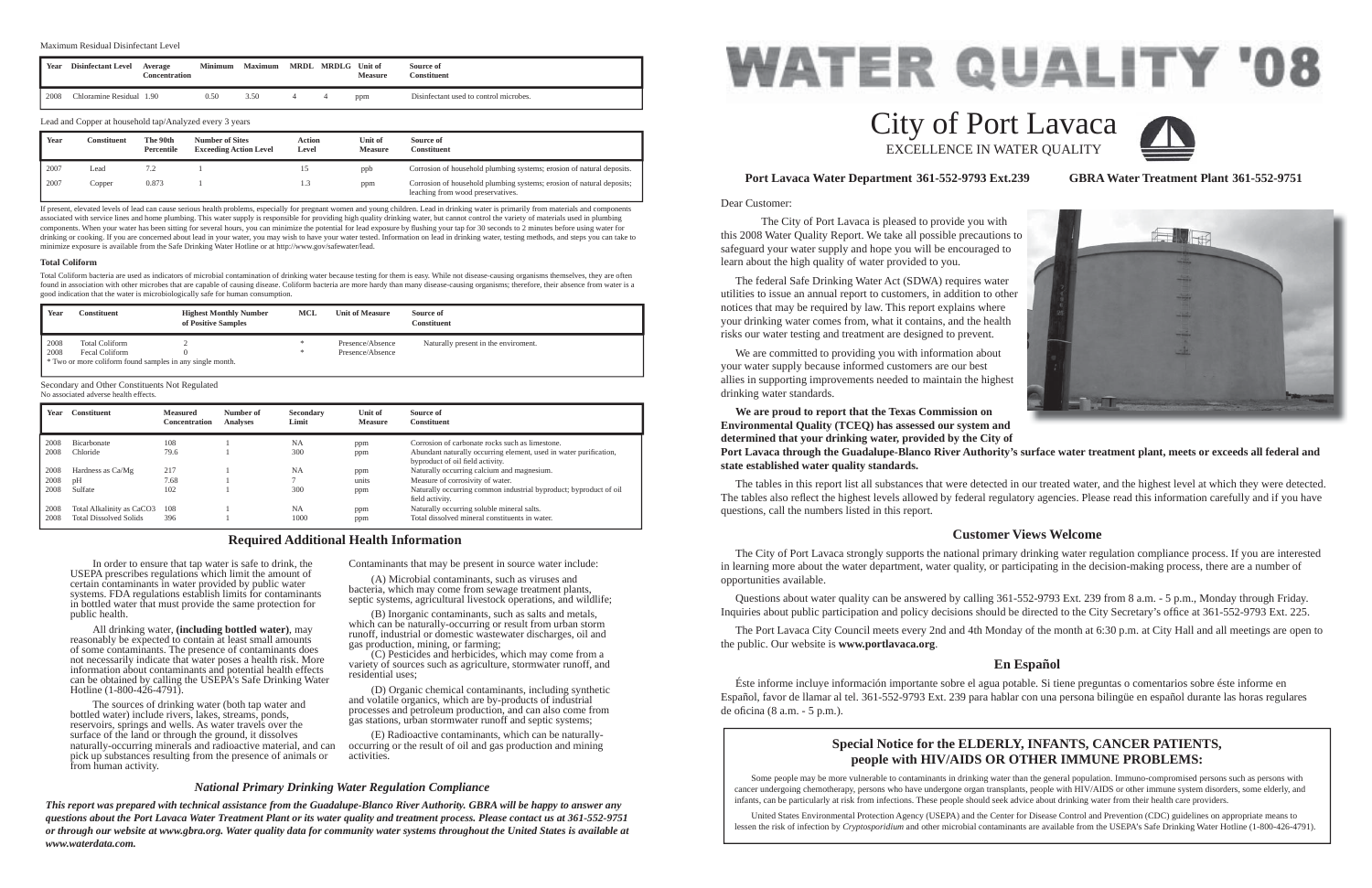Dear Customer:

 The City of Port Lavaca is pleased to provide you with this 2008 Water Quality Report. We take all possible precautions to safeguard your water supply and hope you will be encouraged to learn about the high quality of water provided to you.

 The federal Safe Drinking Water Act (SDWA) requires water utilities to issue an annual report to customers, in addition to other notices that may be required by law. This report explains where your drinking water comes from, what it contains, and the health risks our water testing and treatment are designed to prevent.

 We are committed to providing you with information about your water supply because informed customers are our best allies in supporting improvements needed to maintain the highest drinking water standards.

 Questions about water quality can be answered by calling 361-552-9793 Ext. 239 from 8 a.m. - 5 p.m., Monday through Friday. Inquiries about public participation and policy decisions should be directed to the City Secretary's office at 361-552-9793 Ext. 225.

**We are proud to report that the Texas Commission on Environmental Quality (TCEQ) has assessed our system and determined that your drinking water, provided by the City of Port Lavaca through the Guadalupe-Blanco River Authority's surface water treatment plant, meets or exceeds all federal and state established water quality standards.**

 Éste informe incluye información importante sobre el agua potable. Si tiene preguntas o comentarios sobre éste informe en Español, favor de llamar al tel. 361-552-9793 Ext. 239 para hablar con una persona bilingüe en español durante las horas regulares de oficina (8 a.m. - 5 p.m.).

The tables in this report list all substances that were detected in our treated water, and the highest level at which they were detected. The tables also reflect the highest levels allowed by federal regulatory agencies. Please read this information carefully and if you have questions, call the numbers listed in this report.

## **Port Lavaca Water Department 361-552-9793 Ext.239 GBRA Water Treatment Plant 361-552-9751**

## **Customer Views Welcome**

 The City of Port Lavaca strongly supports the national primary drinking water regulation compliance process. If you are interested in learning more about the water department, water quality, or participating in the decision-making process, there are a number of opportunities available.

 The Port Lavaca City Council meets every 2nd and 4th Monday of the month at 6:30 p.m. at City Hall and all meetings are open to the public. Our website is **www.portlavaca.org**.

## **En Español**

# City of Port Lavaca EXCELLENCE IN WATER QUALITY

In order to ensure that tap water is safe to drink, the

USEPA prescribes regulations which limit the amount of certain contaminants in water provided by public water systems. FDA regulations establish limits for contaminants in bottled water that must provide the same protection for

public health.

 All drinking water, **(including bottled water)**, may reasonably be expected to contain at least small amounts of some contaminants. The presence of contaminants does not necessarily indicate that water poses a health risk. More information about contaminants and potential health effects can be obtained by calling the USEPA's Safe Drinking Water Hotline (1-800-426-4791).

 The sources of drinking water (both tap water and bottled water) include rivers, lakes, streams, ponds, reservoirs, springs and wells. As water travels over the surface of the land or through the ground, it dissolves naturally-occurring minerals and radioactive material, and can pick up substances resulting from the presence of animals or from human activity.

Contaminants that may be present in source water include:

 (A) Microbial contaminants, such as viruses and bacteria, which may come from sewage treatment plants, septic systems, agricultural livestock operations, and wildlife;

 (B) Inorganic contaminants, such as salts and metals, which can be naturally-occurring or result from urban storm runoff, industrial or domestic wastewater discharges, oil and gas production, mining, or farming;

 (C) Pesticides and herbicides, which may come from a variety of sources such as agriculture, stormwater runoff, and residential uses;

 (D) Organic chemical contaminants, including synthetic and volatile organics, which are by-products of industrial processes and petroleum production, and can also come from gas stations, urban stormwater runoff and septic systems;

 (E) Radioactive contaminants, which can be naturallyoccurring or the result of oil and gas production and mining activities.

## **Required Additional Health Information**

## *National Primary Drinking Water Regulation Compliance*

*This report was prepared with technical assistance from the Guadalupe-Blanco River Authority. GBRA will be happy to answer any questions about the Port Lavaca Water Treatment Plant or its water quality and treatment process. Please contact us at 361-552-9751 or through our website at www.gbra.org. Water quality data for community water systems throughout the United States is available at www.waterdata.com.*

## **Special Notice for the ELDERLY, INFANTS, CANCER PATIENTS, people with HIV/AIDS OR OTHER IMMUNE PROBLEMS:**

Some people may be more vulnerable to contaminants in drinking water than the general population. Immuno-compromised persons such as persons with cancer undergoing chemotherapy, persons who have undergone organ transplants, people with HIV/AIDS or other immune system disorders, some elderly, and infants, can be particularly at risk from infections. These people should seek advice about drinking water from their health care providers.

 United States Environmental Protection Agency (USEPA) and the Center for Disease Control and Prevention (CDC) guidelines on appropriate means to lessen the risk of infection by *Cryptosporidium* and other microbial contaminants are available from the USEPA's Safe Drinking Water Hotline (1-800-426-4791).







| Year | <b>Constituent</b>            | <b>Measured</b><br><b>Concentration</b> | Number of<br><b>Analyses</b> | Secondary<br>Limit | <b>Unit of</b><br><b>Measure</b> | Source of<br><b>Constituent</b>                                                                       |
|------|-------------------------------|-----------------------------------------|------------------------------|--------------------|----------------------------------|-------------------------------------------------------------------------------------------------------|
| 2008 | Bicarbonate                   | 108                                     |                              | NA                 | ppm                              | Corrosion of carbonate rocks such as limestone.                                                       |
| 2008 | Chloride                      | 79.6                                    |                              | 300                | ppm                              | Abundant naturally occurring element, used in water purification,<br>byproduct of oil field activity. |
| 2008 | Hardness as Ca/Mg             | 217                                     |                              | <b>NA</b>          | ppm                              | Naturally occurring calcium and magnesium.                                                            |
| 2008 | pH                            | 7.68                                    |                              |                    | units                            | Measure of corrosivity of water.                                                                      |
| 2008 | Sulfate                       | 102                                     |                              | 300                | ppm                              | Naturally occurring common industrial byproduct; byproduct of oil<br>field activity.                  |
| 2008 | Total Alkalinity as CaCO3     | 108                                     |                              | <b>NA</b>          | ppm                              | Naturally occurring soluble mineral salts.                                                            |
| 2008 | <b>Total Dissolved Solids</b> | 396                                     |                              | 1000               | ppm                              | Total dissolved mineral constituents in water.                                                        |

| Year | Constituent | The 90th<br>Percentile | <b>Number of Sites</b><br><b>Exceeding Action Level</b> | Action<br>Level | Unit of<br><b>Measure</b> | Source of<br><b>Constituent</b>                                                                            |
|------|-------------|------------------------|---------------------------------------------------------|-----------------|---------------------------|------------------------------------------------------------------------------------------------------------|
| 2007 | Lead        |                        |                                                         |                 | ppb                       | Corrosion of household plumbing systems; erosion of natural deposits.                                      |
| 2007 | Copper      | 0.873                  |                                                         |                 | ppm                       | Corrosion of household plumbing systems; erosion of natural deposits;<br>leaching from wood preservatives. |

### Lead and Copper at household tap/Analyzed every 3 years

| Year | <b>Disinfectant Level</b> | Average<br>Concentration | <b>Minimum</b> | <b>Maximum</b> | MRDL MRDLG Unit of | <b>Measure</b> | Source of<br><b>Constituent</b>        |
|------|---------------------------|--------------------------|----------------|----------------|--------------------|----------------|----------------------------------------|
| 2008 | Chloramine Residual 1.90  |                          | 0.50           | 3.50           |                    | ppm            | Disinfectant used to control microbes. |

### Maximum Residual Disinfectant Level

If present, elevated levels of lead can cause serious health problems, especially for pregnant women and young children. Lead in drinking water is primarily from materials and components associated with service lines and home plumbing. This water supply is responsible for providing high quality drinking water, but cannot control the variety of materials used in plumbing components. When your water has been sitting for several hours, you can minimize the potential for lead exposure by flushing your tap for 30 seconds to 2 minutes before using water for drinking or cooking. If you are concerned about lead in your water, you may wish to have your water tested. Information on lead in drinking water, testing methods, and steps you can take to minimize exposure is available from the Safe Drinking Water Hotline or at http://www.gov/safewater/lead.

| Year         | <b>Constituent</b>                                                                                          | <b>Highest Monthly Number</b><br>of Positive Samples | <b>MCL</b>       | <b>Unit of Measure</b>               | Source of<br><b>Constituent</b>      |
|--------------|-------------------------------------------------------------------------------------------------------------|------------------------------------------------------|------------------|--------------------------------------|--------------------------------------|
| 2008<br>2008 | <b>Total Coliform</b><br><b>Fecal Coliform</b><br>* Two or more coliform found samples in any single month. |                                                      | $\ast$<br>$\ast$ | Presence/Absence<br>Presence/Absence | Naturally present in the enviroment. |
|              | Secondary and Other Constituents Not Regulated<br>No associated adverse health effects.                     |                                                      |                  |                                      |                                      |

Total Coliform bacteria are used as indicators of microbial contamination of drinking water because testing for them is easy. While not disease-causing organisms themselves, they are often found in association with other microbes that are capable of causing disease. Coliform bacteria are more hardy than many disease-causing organisms; therefore, their absence from water is a good indication that the water is microbiologically safe for human consumption.

### **Total Coliform**